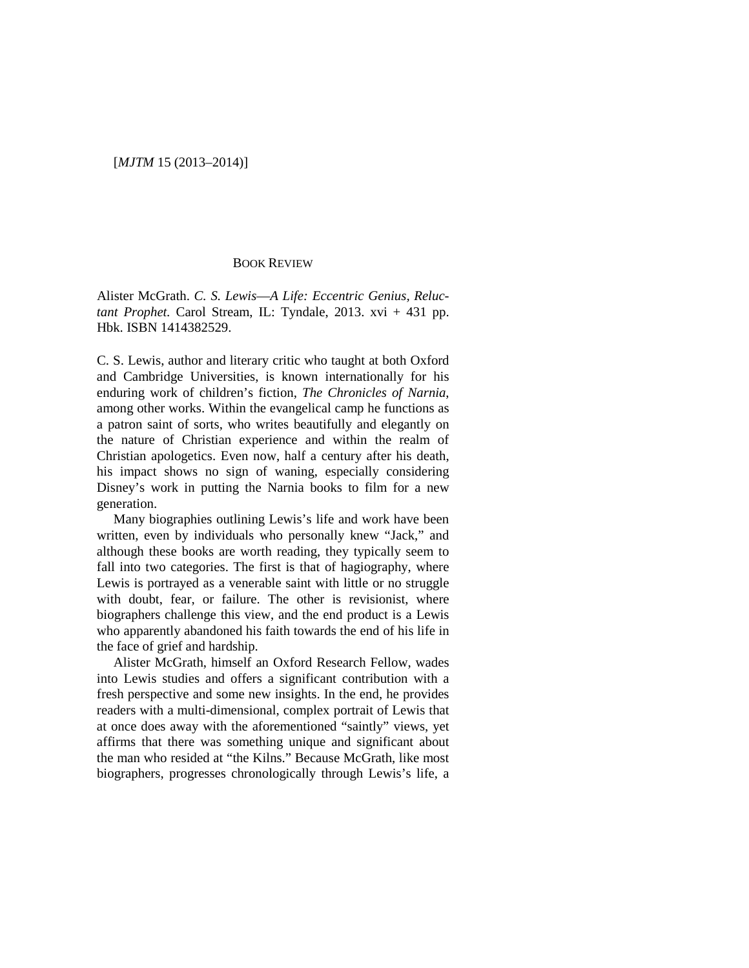## BOOK REVIEW

Alister McGrath. *C. S. Lewis*—*A Life: Eccentric Genius, Reluctant Prophet.* Carol Stream, IL: Tyndale, 2013. xvi + 431 pp. Hbk. ISBN 1414382529.

C. S. Lewis, author and literary critic who taught at both Oxford and Cambridge Universities, is known internationally for his enduring work of children's fiction, *The Chronicles of Narnia*, among other works. Within the evangelical camp he functions as a patron saint of sorts, who writes beautifully and elegantly on the nature of Christian experience and within the realm of Christian apologetics. Even now, half a century after his death, his impact shows no sign of waning, especially considering Disney's work in putting the Narnia books to film for a new generation.

Many biographies outlining Lewis's life and work have been written, even by individuals who personally knew "Jack," and although these books are worth reading, they typically seem to fall into two categories. The first is that of hagiography, where Lewis is portrayed as a venerable saint with little or no struggle with doubt, fear, or failure. The other is revisionist, where biographers challenge this view, and the end product is a Lewis who apparently abandoned his faith towards the end of his life in the face of grief and hardship.

Alister McGrath, himself an Oxford Research Fellow, wades into Lewis studies and offers a significant contribution with a fresh perspective and some new insights. In the end, he provides readers with a multi-dimensional, complex portrait of Lewis that at once does away with the aforementioned "saintly" views, yet affirms that there was something unique and significant about the man who resided at "the Kilns." Because McGrath, like most biographers, progresses chronologically through Lewis's life, a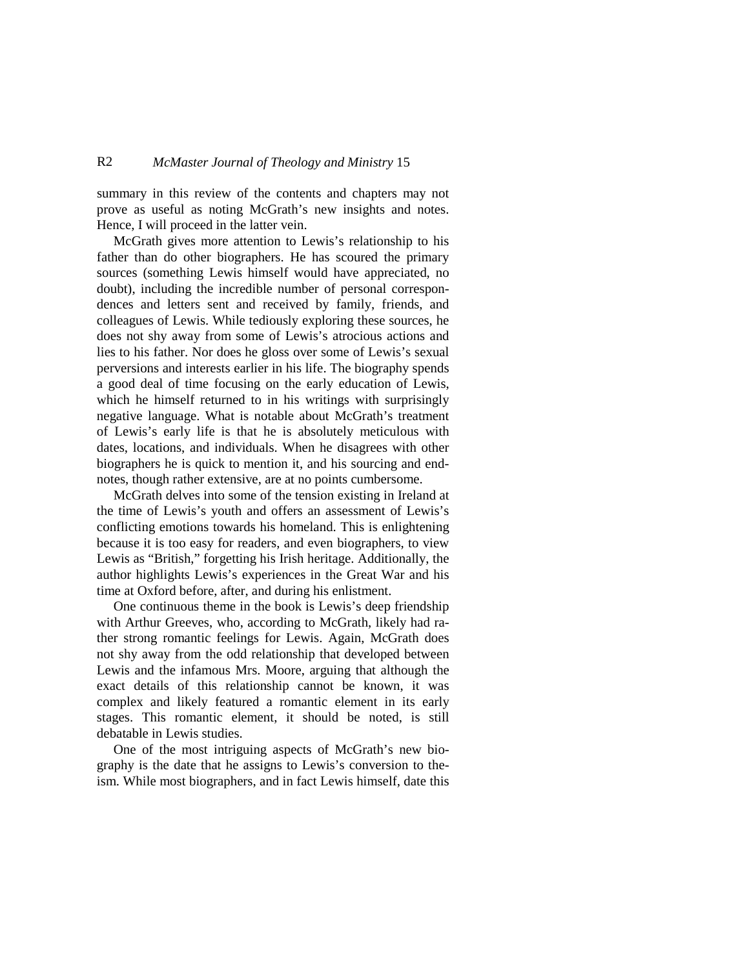## R2 *McMaster Journal of Theology and Ministry* 15

summary in this review of the contents and chapters may not prove as useful as noting McGrath's new insights and notes. Hence, I will proceed in the latter vein.

McGrath gives more attention to Lewis's relationship to his father than do other biographers. He has scoured the primary sources (something Lewis himself would have appreciated, no doubt), including the incredible number of personal correspondences and letters sent and received by family, friends, and colleagues of Lewis. While tediously exploring these sources, he does not shy away from some of Lewis's atrocious actions and lies to his father. Nor does he gloss over some of Lewis's sexual perversions and interests earlier in his life. The biography spends a good deal of time focusing on the early education of Lewis, which he himself returned to in his writings with surprisingly negative language. What is notable about McGrath's treatment of Lewis's early life is that he is absolutely meticulous with dates, locations, and individuals. When he disagrees with other biographers he is quick to mention it, and his sourcing and endnotes, though rather extensive, are at no points cumbersome.

McGrath delves into some of the tension existing in Ireland at the time of Lewis's youth and offers an assessment of Lewis's conflicting emotions towards his homeland. This is enlightening because it is too easy for readers, and even biographers, to view Lewis as "British," forgetting his Irish heritage. Additionally, the author highlights Lewis's experiences in the Great War and his time at Oxford before, after, and during his enlistment.

One continuous theme in the book is Lewis's deep friendship with Arthur Greeves, who, according to McGrath, likely had rather strong romantic feelings for Lewis. Again, McGrath does not shy away from the odd relationship that developed between Lewis and the infamous Mrs. Moore, arguing that although the exact details of this relationship cannot be known, it was complex and likely featured a romantic element in its early stages. This romantic element, it should be noted, is still debatable in Lewis studies.

One of the most intriguing aspects of McGrath's new biography is the date that he assigns to Lewis's conversion to theism. While most biographers, and in fact Lewis himself, date this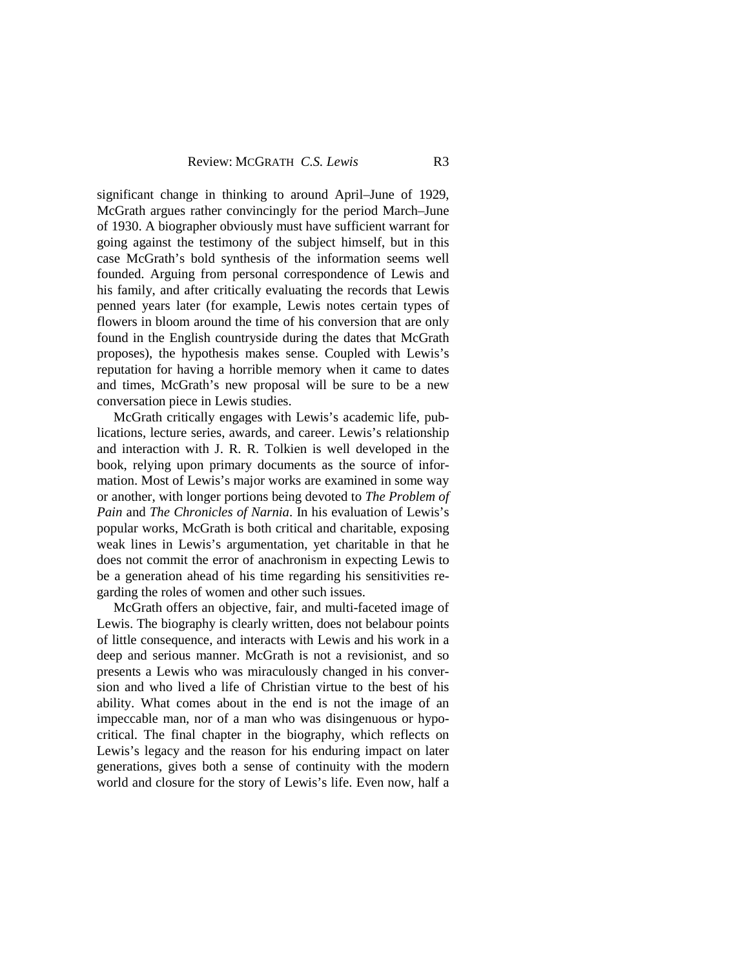significant change in thinking to around April–June of 1929, McGrath argues rather convincingly for the period March–June of 1930. A biographer obviously must have sufficient warrant for going against the testimony of the subject himself, but in this case McGrath's bold synthesis of the information seems well founded. Arguing from personal correspondence of Lewis and his family, and after critically evaluating the records that Lewis penned years later (for example, Lewis notes certain types of flowers in bloom around the time of his conversion that are only found in the English countryside during the dates that McGrath proposes), the hypothesis makes sense. Coupled with Lewis's reputation for having a horrible memory when it came to dates and times, McGrath's new proposal will be sure to be a new conversation piece in Lewis studies.

McGrath critically engages with Lewis's academic life, publications, lecture series, awards, and career. Lewis's relationship and interaction with J. R. R. Tolkien is well developed in the book, relying upon primary documents as the source of information. Most of Lewis's major works are examined in some way or another, with longer portions being devoted to *The Problem of Pain* and *The Chronicles of Narnia*. In his evaluation of Lewis's popular works, McGrath is both critical and charitable, exposing weak lines in Lewis's argumentation, yet charitable in that he does not commit the error of anachronism in expecting Lewis to be a generation ahead of his time regarding his sensitivities regarding the roles of women and other such issues.

McGrath offers an objective, fair, and multi-faceted image of Lewis. The biography is clearly written, does not belabour points of little consequence, and interacts with Lewis and his work in a deep and serious manner. McGrath is not a revisionist, and so presents a Lewis who was miraculously changed in his conversion and who lived a life of Christian virtue to the best of his ability. What comes about in the end is not the image of an impeccable man, nor of a man who was disingenuous or hypocritical. The final chapter in the biography, which reflects on Lewis's legacy and the reason for his enduring impact on later generations, gives both a sense of continuity with the modern world and closure for the story of Lewis's life. Even now, half a